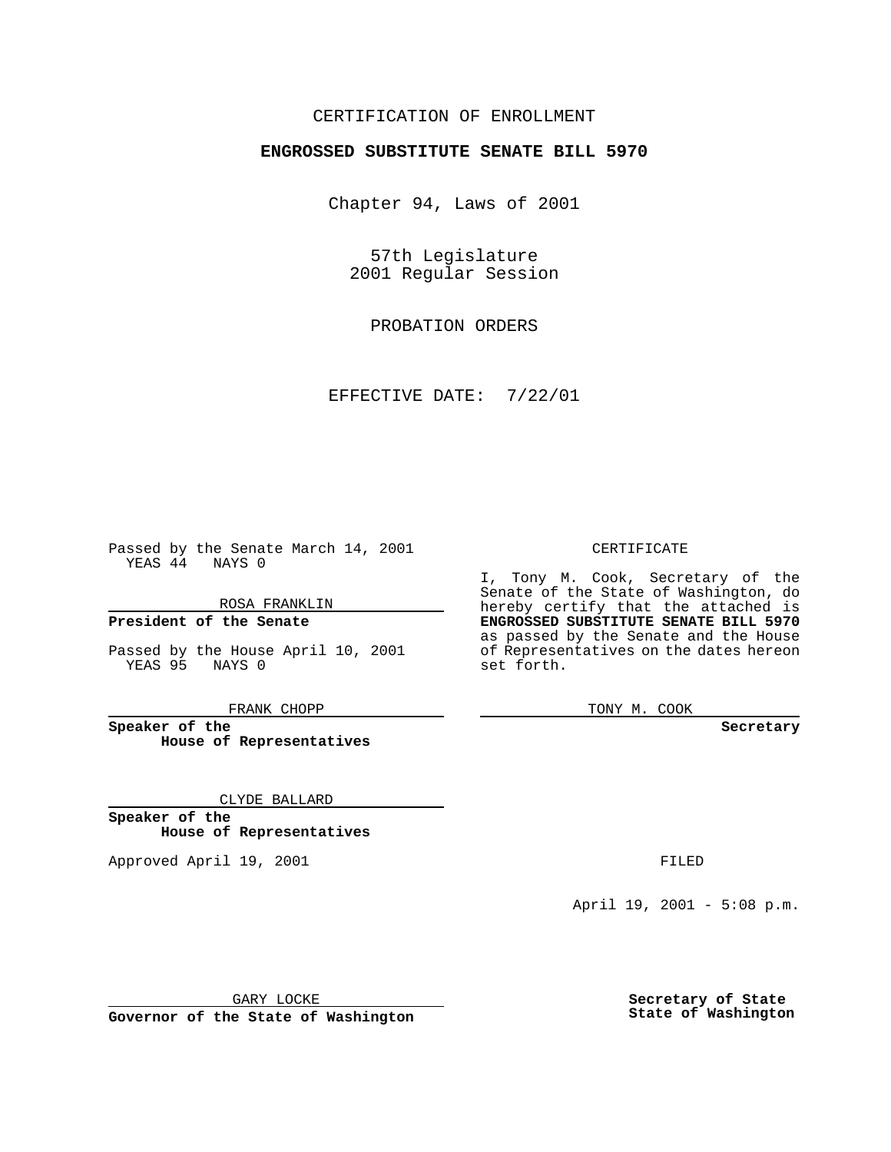## CERTIFICATION OF ENROLLMENT

## **ENGROSSED SUBSTITUTE SENATE BILL 5970**

Chapter 94, Laws of 2001

57th Legislature 2001 Regular Session

PROBATION ORDERS

EFFECTIVE DATE: 7/22/01

Passed by the Senate March 14, 2001 YEAS 44 NAYS 0

ROSA FRANKLIN

**President of the Senate**

Passed by the House April 10, 2001 YEAS 95 NAYS 0

FRANK CHOPP

**Speaker of the House of Representatives**

CLYDE BALLARD

**Speaker of the House of Representatives**

Approved April 19, 2001 **FILED** 

## CERTIFICATE

I, Tony M. Cook, Secretary of the Senate of the State of Washington, do hereby certify that the attached is **ENGROSSED SUBSTITUTE SENATE BILL 5970** as passed by the Senate and the House of Representatives on the dates hereon set forth.

TONY M. COOK

**Secretary**

April 19, 2001 - 5:08 p.m.

GARY LOCKE

**Governor of the State of Washington**

**Secretary of State State of Washington**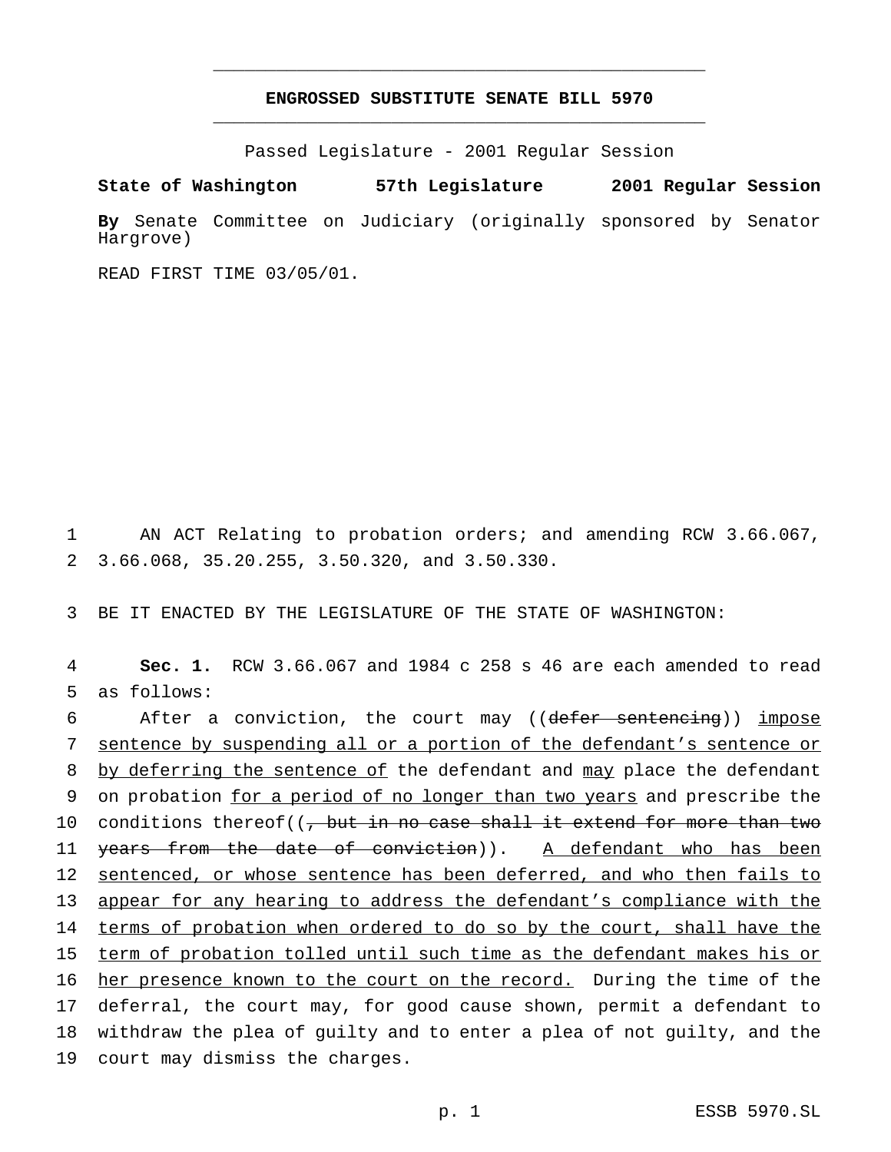## **ENGROSSED SUBSTITUTE SENATE BILL 5970** \_\_\_\_\_\_\_\_\_\_\_\_\_\_\_\_\_\_\_\_\_\_\_\_\_\_\_\_\_\_\_\_\_\_\_\_\_\_\_\_\_\_\_\_\_\_\_

\_\_\_\_\_\_\_\_\_\_\_\_\_\_\_\_\_\_\_\_\_\_\_\_\_\_\_\_\_\_\_\_\_\_\_\_\_\_\_\_\_\_\_\_\_\_\_

Passed Legislature - 2001 Regular Session

**State of Washington 57th Legislature 2001 Regular Session By** Senate Committee on Judiciary (originally sponsored by Senator Hargrove)

READ FIRST TIME 03/05/01.

1 AN ACT Relating to probation orders; and amending RCW 3.66.067, 2 3.66.068, 35.20.255, 3.50.320, and 3.50.330.

3 BE IT ENACTED BY THE LEGISLATURE OF THE STATE OF WASHINGTON:

4 **Sec. 1.** RCW 3.66.067 and 1984 c 258 s 46 are each amended to read 5 as follows:

6 After a conviction, the court may ((defer sentencing)) impose 7 sentence by suspending all or a portion of the defendant's sentence or 8 by deferring the sentence of the defendant and may place the defendant 9 on probation for a period of no longer than two years and prescribe the 10 conditions thereof( $\left(\frac{1}{f} + f\right)$  but in no case shall it extend for more than two 11 <del>years from the date of conviction</del>)). A defendant who has been 12 sentenced, or whose sentence has been deferred, and who then fails to 13 appear for any hearing to address the defendant's compliance with the 14 terms of probation when ordered to do so by the court, shall have the 15 term of probation tolled until such time as the defendant makes his or 16 her presence known to the court on the record. During the time of the 17 deferral, the court may, for good cause shown, permit a defendant to 18 withdraw the plea of guilty and to enter a plea of not guilty, and the 19 court may dismiss the charges.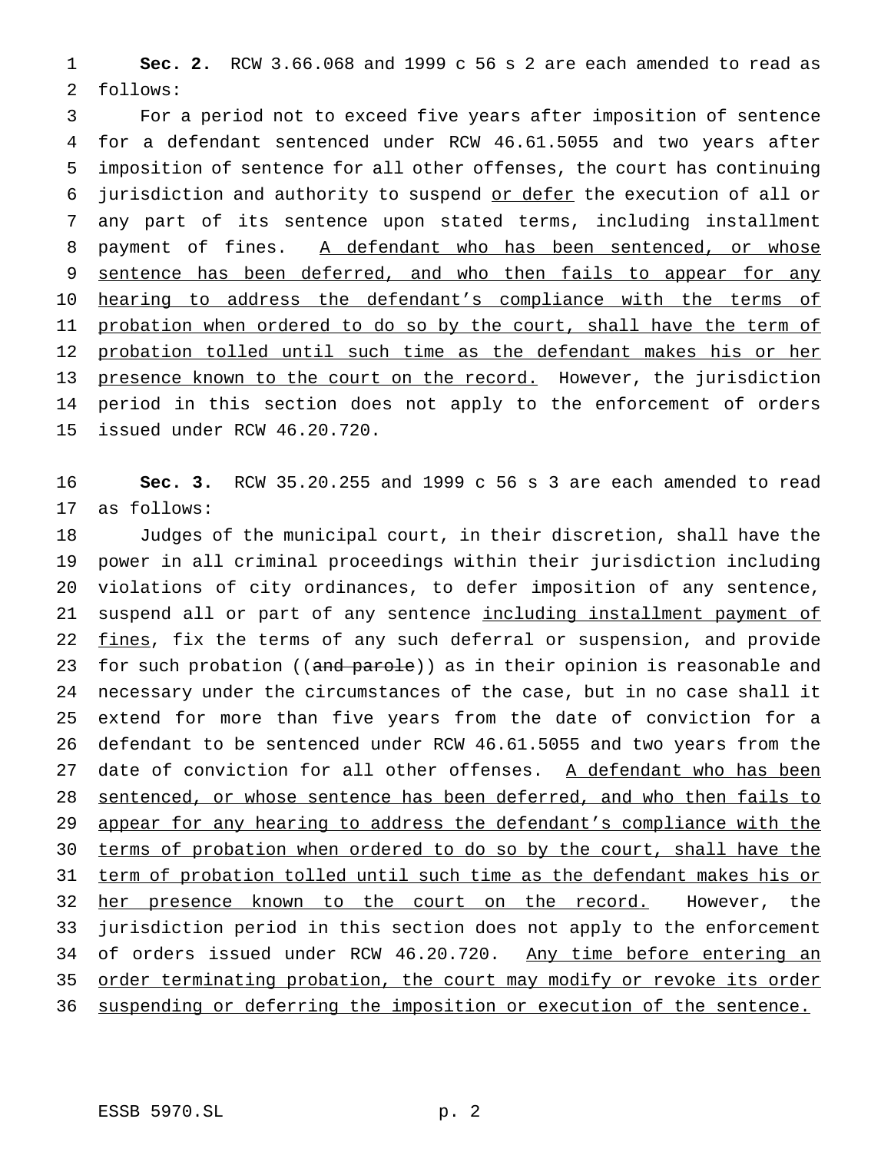1 **Sec. 2.** RCW 3.66.068 and 1999 c 56 s 2 are each amended to read as 2 follows:

3 For a period not to exceed five years after imposition of sentence 4 for a defendant sentenced under RCW 46.61.5055 and two years after 5 imposition of sentence for all other offenses, the court has continuing 6 jurisdiction and authority to suspend or defer the execution of all or 7 any part of its sentence upon stated terms, including installment 8 payment of fines. A defendant who has been sentenced, or whose 9 sentence has been deferred, and who then fails to appear for any 10 hearing to address the defendant's compliance with the terms of 11 probation when ordered to do so by the court, shall have the term of 12 probation tolled until such time as the defendant makes his or her 13 presence known to the court on the record. However, the jurisdiction 14 period in this section does not apply to the enforcement of orders 15 issued under RCW 46.20.720.

16 **Sec. 3.** RCW 35.20.255 and 1999 c 56 s 3 are each amended to read 17 as follows:

18 Judges of the municipal court, in their discretion, shall have the 19 power in all criminal proceedings within their jurisdiction including 20 violations of city ordinances, to defer imposition of any sentence, 21 suspend all or part of any sentence including installment payment of 22 fines, fix the terms of any such deferral or suspension, and provide 23 for such probation ((and parole)) as in their opinion is reasonable and 24 necessary under the circumstances of the case, but in no case shall it 25 extend for more than five years from the date of conviction for a 26 defendant to be sentenced under RCW 46.61.5055 and two years from the 27 date of conviction for all other offenses. A defendant who has been 28 sentenced, or whose sentence has been deferred, and who then fails to 29 appear for any hearing to address the defendant's compliance with the 30 terms of probation when ordered to do so by the court, shall have the 31 term of probation tolled until such time as the defendant makes his or 32 her presence known to the court on the record. However, the 33 jurisdiction period in this section does not apply to the enforcement 34 of orders issued under RCW 46.20.720. Any time before entering an 35 order terminating probation, the court may modify or revoke its order 36 suspending or deferring the imposition or execution of the sentence.